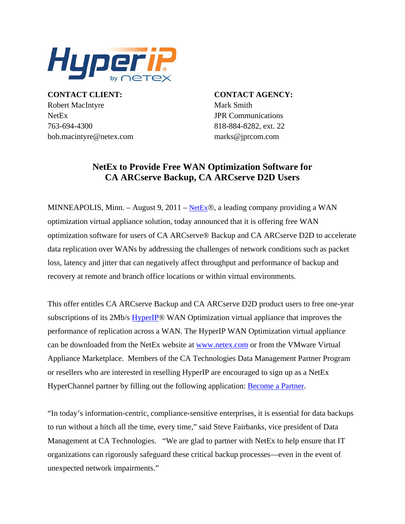

**CONTACT CLIENT: CONTACT AGENCY:** Robert MacIntyre Mark Smith NetEx JPR Communications 763-694-4300 818-884-8282, ext. 22 bob.macintyre@netex.com marks@jprcom.com

## **NetEx to Provide Free WAN Optimization Software for CA ARCserve Backup, CA ARCserve D2D Users**

MINNEAPOLIS, Minn. – August 9, 2011 – [NetEx](http://www.netex.com/)®, a leading company providing a WAN optimization virtual appliance solution, today announced that it is offering free WAN optimization software for users of CA ARCserve® Backup and CA ARCserve D2D to accelerate data replication over WANs by addressing the challenges of network conditions such as packet loss, latency and jitter that can negatively affect throughput and performance of backup and recovery at remote and branch office locations or within virtual environments.

This offer entitles CA ARCserve Backup and CA ARCserve D2D product users to free one-year subscriptions of its 2Mb/s [HyperIP](http://www.netex.com/hyperip)® WAN Optimization virtual appliance that improves the performance of replication across a WAN. The HyperIP WAN Optimization virtual appliance can be downloaded from the NetEx website at [www.netex.com](http://www.netex.com/) or from the VMware Virtual Appliance Marketplace. Members of the CA Technologies Data Management Partner Program or resellers who are interested in reselling HyperIP are encouraged to sign up as a NetEx HyperChannel partner by filling out the following application: [Become a Partner.](http://www.netex.com/partners/become-a-partner)

"In today's information-centric, compliance-sensitive enterprises, it is essential for data backups to run without a hitch all the time, every time," said Steve Fairbanks, vice president of Data Management at CA Technologies. "We are glad to partner with NetEx to help ensure that IT organizations can rigorously safeguard these critical backup processes—even in the event of unexpected network impairments."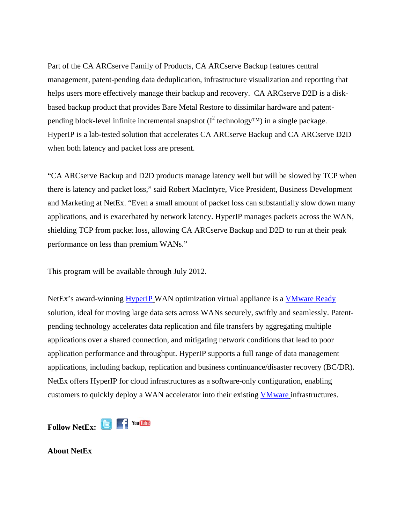Part of the CA ARCserve Family of Products, CA ARCserve Backup features central management, patent-pending data deduplication, infrastructure visualization and reporting that helps users more effectively manage their backup and recovery. CA ARCserve D2D is a diskbased backup product that provides Bare Metal Restore to dissimilar hardware and patentpending block-level infinite incremental snapshot ( $I^2$  technology<sup>TM</sup>) in a single package. HyperIP is a lab-tested solution that accelerates CA ARCserve Backup and CA ARCserve D2D when both latency and packet loss are present.

"CA ARCserve Backup and D2D products manage latency well but will be slowed by TCP when there is latency and packet loss," said Robert MacIntyre, Vice President, Business Development and Marketing at NetEx. "Even a small amount of packet loss can substantially slow down many applications, and is exacerbated by network latency. HyperIP manages packets across the WAN, shielding TCP from packet loss, allowing CA ARCserve Backup and D2D to run at their peak performance on less than premium WANs."

This program will be available through July 2012.

NetEx's award-winning [HyperIP](http://www.netex.com/) WAN optimization virtual appliance is a [VMware Ready](http://vmblog.com/archive/2010/05/03/netex-hyperip-achieves-vmware-ready-status.aspx) solution, ideal for moving large data sets across WANs securely, swiftly and seamlessly. Patentpending technology accelerates data replication and file transfers by aggregating multiple applications over a shared connection, and mitigating network conditions that lead to poor application performance and throughput. HyperIP supports a full range of data management applications, including backup, replication and business continuance/disaster recovery (BC/DR). NetEx offers HyperIP for cloud infrastructures as a software-only configuration, enabling customers to quickly deploy a WAN accelerator into their existing [VMware](http://www.vmware.com/appliances/directory/155643) infrastructures.

FollowNetEx: **B F** You Tube

**About NetEx**